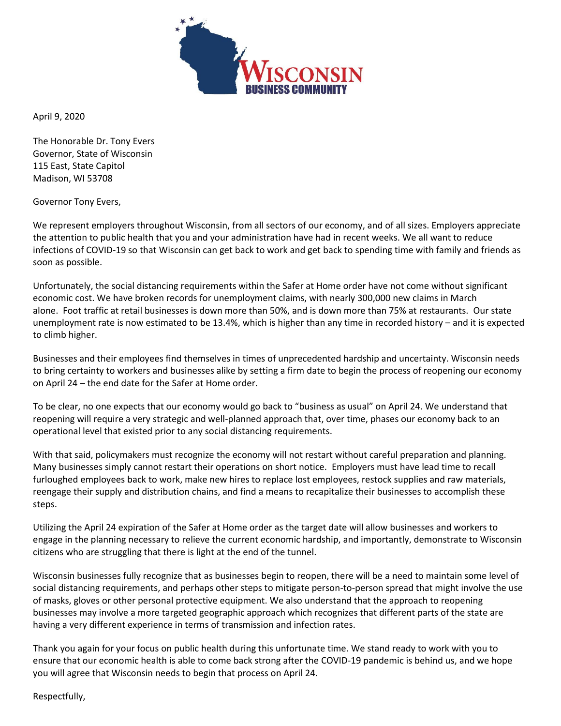

April 9, 2020

The Honorable Dr. Tony Evers Governor, State of Wisconsin 115 East, State Capitol Madison, WI 53708

Governor Tony Evers,

We represent employers throughout Wisconsin, from all sectors of our economy, and of all sizes. Employers appreciate the attention to public health that you and your administration have had in recent weeks. We all want to reduce infections of COVID-19 so that Wisconsin can get back to work and get back to spending time with family and friends as soon as possible.

Unfortunately, the social distancing requirements within the Safer at Home order have not come without significant economic cost. We have broken records for unemployment claims, with nearly 300,000 new claims in March alone. Foot traffic at retail businesses is down more than 50%, and is down more than 75% at restaurants. Our state unemployment rate is now estimated to be 13.4%, which is higher than any time in recorded history – and it is expected to climb higher.

Businesses and their employees find themselves in times of unprecedented hardship and uncertainty. Wisconsin needs to bring certainty to workers and businesses alike by setting a firm date to begin the process of reopening our economy on April 24 – the end date for the Safer at Home order.

To be clear, no one expects that our economy would go back to "business as usual" on April 24. We understand that reopening will require a very strategic and well-planned approach that, over time, phases our economy back to an operational level that existed prior to any social distancing requirements.

With that said, policymakers must recognize the economy will not restart without careful preparation and planning. Many businesses simply cannot restart their operations on short notice. Employers must have lead time to recall furloughed employees back to work, make new hires to replace lost employees, restock supplies and raw materials, reengage their supply and distribution chains, and find a means to recapitalize their businesses to accomplish these steps.

Utilizing the April 24 expiration of the Safer at Home order as the target date will allow businesses and workers to engage in the planning necessary to relieve the current economic hardship, and importantly, demonstrate to Wisconsin citizens who are struggling that there is light at the end of the tunnel.

Wisconsin businesses fully recognize that as businesses begin to reopen, there will be a need to maintain some level of social distancing requirements, and perhaps other steps to mitigate person-to-person spread that might involve the use of masks, gloves or other personal protective equipment. We also understand that the approach to reopening businesses may involve a more targeted geographic approach which recognizes that different parts of the state are having a very different experience in terms of transmission and infection rates.

Thank you again for your focus on public health during this unfortunate time. We stand ready to work with you to ensure that our economic health is able to come back strong after the COVID-19 pandemic is behind us, and we hope you will agree that Wisconsin needs to begin that process on April 24.

Respectfully,